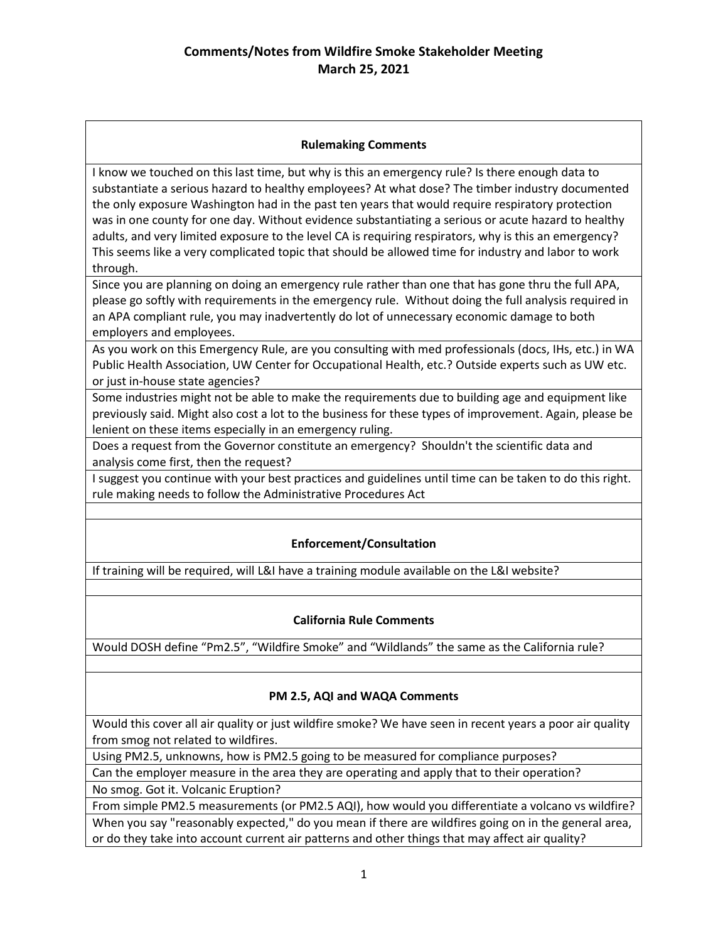## **Rulemaking Comments**

I know we touched on this last time, but why is this an emergency rule? Is there enough data to substantiate a serious hazard to healthy employees? At what dose? The timber industry documented the only exposure Washington had in the past ten years that would require respiratory protection was in one county for one day. Without evidence substantiating a serious or acute hazard to healthy adults, and very limited exposure to the level CA is requiring respirators, why is this an emergency? This seems like a very complicated topic that should be allowed time for industry and labor to work through.

Since you are planning on doing an emergency rule rather than one that has gone thru the full APA, please go softly with requirements in the emergency rule. Without doing the full analysis required in an APA compliant rule, you may inadvertently do lot of unnecessary economic damage to both employers and employees.

As you work on this Emergency Rule, are you consulting with med professionals (docs, IHs, etc.) in WA Public Health Association, UW Center for Occupational Health, etc.? Outside experts such as UW etc. or just in-house state agencies?

Some industries might not be able to make the requirements due to building age and equipment like previously said. Might also cost a lot to the business for these types of improvement. Again, please be lenient on these items especially in an emergency ruling.

Does a request from the Governor constitute an emergency? Shouldn't the scientific data and analysis come first, then the request?

I suggest you continue with your best practices and guidelines until time can be taken to do this right. rule making needs to follow the Administrative Procedures Act

# **Enforcement/Consultation**

If training will be required, will L&I have a training module available on the L&I website?

### **California Rule Comments**

Would DOSH define "Pm2.5", "Wildfire Smoke" and "Wildlands" the same as the California rule?

### **PM 2.5, AQI and WAQA Comments**

Would this cover all air quality or just wildfire smoke? We have seen in recent years a poor air quality from smog not related to wildfires.

Using PM2.5, unknowns, how is PM2.5 going to be measured for compliance purposes?

Can the employer measure in the area they are operating and apply that to their operation?

No smog. Got it. Volcanic Eruption?

From simple PM2.5 measurements (or PM2.5 AQI), how would you differentiate a volcano vs wildfire? When you say "reasonably expected," do you mean if there are wildfires going on in the general area, or do they take into account current air patterns and other things that may affect air quality?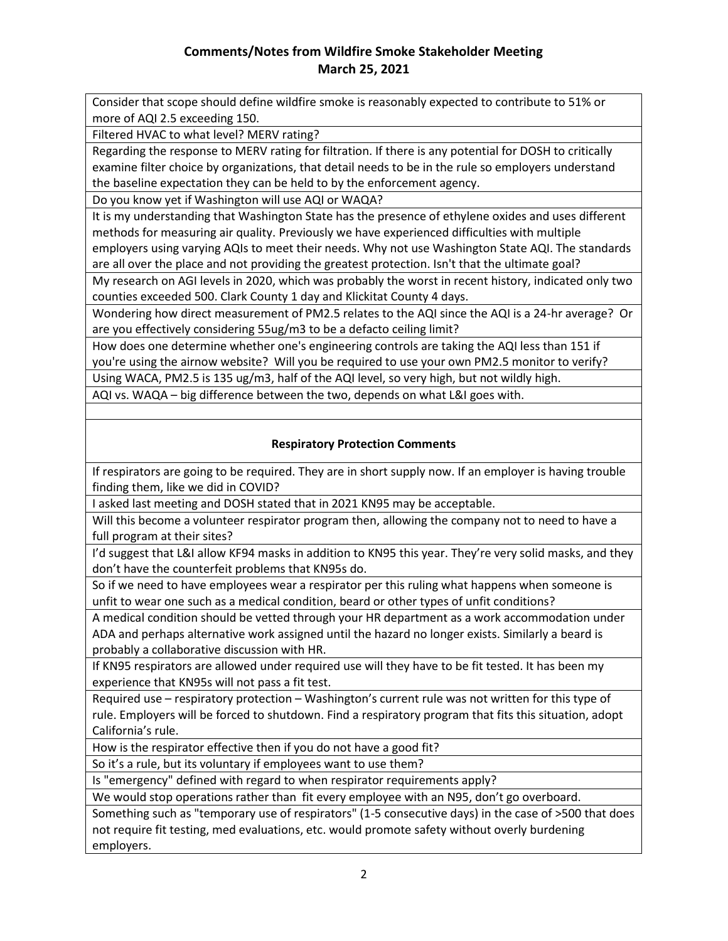# **Comments/Notes from Wildfire Smoke Stakeholder Meeting March 25, 2021**

Consider that scope should define wildfire smoke is reasonably expected to contribute to 51% or more of AQI 2.5 exceeding 150.

Filtered HVAC to what level? MERV rating?

Regarding the response to MERV rating for filtration. If there is any potential for DOSH to critically examine filter choice by organizations, that detail needs to be in the rule so employers understand the baseline expectation they can be held to by the enforcement agency.

Do you know yet if Washington will use AQI or WAQA?

It is my understanding that Washington State has the presence of ethylene oxides and uses different methods for measuring air quality. Previously we have experienced difficulties with multiple employers using varying AQIs to meet their needs. Why not use Washington State AQI. The standards are all over the place and not providing the greatest protection. Isn't that the ultimate goal?

My research on AGI levels in 2020, which was probably the worst in recent history, indicated only two counties exceeded 500. Clark County 1 day and Klickitat County 4 days.

Wondering how direct measurement of PM2.5 relates to the AQI since the AQI is a 24-hr average? Or are you effectively considering 55ug/m3 to be a defacto ceiling limit?

How does one determine whether one's engineering controls are taking the AQI less than 151 if you're using the airnow website? Will you be required to use your own PM2.5 monitor to verify?

Using WACA, PM2.5 is 135 ug/m3, half of the AQI level, so very high, but not wildly high.

AQI vs. WAQA – big difference between the two, depends on what L&I goes with.

### **Respiratory Protection Comments**

If respirators are going to be required. They are in short supply now. If an employer is having trouble finding them, like we did in COVID?

I asked last meeting and DOSH stated that in 2021 KN95 may be acceptable.

Will this become a volunteer respirator program then, allowing the company not to need to have a full program at their sites?

I'd suggest that L&I allow KF94 masks in addition to KN95 this year. They're very solid masks, and they don't have the counterfeit problems that KN95s do.

So if we need to have employees wear a respirator per this ruling what happens when someone is unfit to wear one such as a medical condition, beard or other types of unfit conditions?

A medical condition should be vetted through your HR department as a work accommodation under ADA and perhaps alternative work assigned until the hazard no longer exists. Similarly a beard is probably a collaborative discussion with HR.

If KN95 respirators are allowed under required use will they have to be fit tested. It has been my experience that KN95s will not pass a fit test.

Required use – respiratory protection – Washington's current rule was not written for this type of rule. Employers will be forced to shutdown. Find a respiratory program that fits this situation, adopt California's rule.

How is the respirator effective then if you do not have a good fit?

So it's a rule, but its voluntary if employees want to use them?

Is "emergency" defined with regard to when respirator requirements apply?

We would stop operations rather than fit every employee with an N95, don't go overboard.

Something such as "temporary use of respirators" (1-5 consecutive days) in the case of >500 that does not require fit testing, med evaluations, etc. would promote safety without overly burdening employers.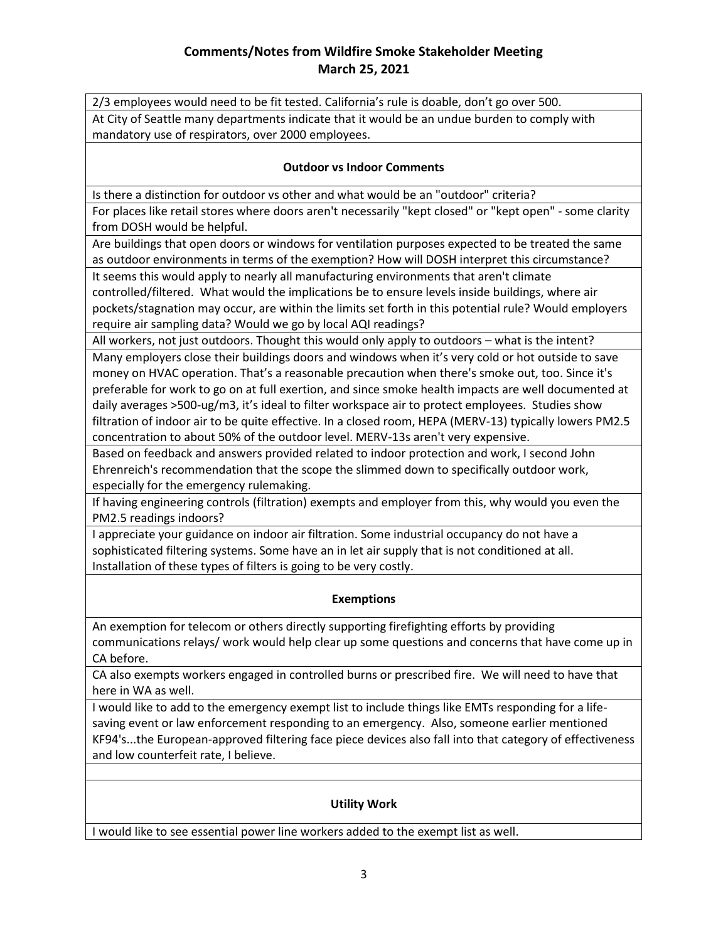# **Comments/Notes from Wildfire Smoke Stakeholder Meeting March 25, 2021**

2/3 employees would need to be fit tested. California's rule is doable, don't go over 500. At City of Seattle many departments indicate that it would be an undue burden to comply with mandatory use of respirators, over 2000 employees.

#### **Outdoor vs Indoor Comments**

Is there a distinction for outdoor vs other and what would be an "outdoor" criteria?

For places like retail stores where doors aren't necessarily "kept closed" or "kept open" - some clarity from DOSH would be helpful.

Are buildings that open doors or windows for ventilation purposes expected to be treated the same as outdoor environments in terms of the exemption? How will DOSH interpret this circumstance?

It seems this would apply to nearly all manufacturing environments that aren't climate controlled/filtered. What would the implications be to ensure levels inside buildings, where air pockets/stagnation may occur, are within the limits set forth in this potential rule? Would employers require air sampling data? Would we go by local AQI readings?

All workers, not just outdoors. Thought this would only apply to outdoors – what is the intent?

Many employers close their buildings doors and windows when it's very cold or hot outside to save money on HVAC operation. That's a reasonable precaution when there's smoke out, too. Since it's preferable for work to go on at full exertion, and since smoke health impacts are well documented at daily averages >500-ug/m3, it's ideal to filter workspace air to protect employees. Studies show filtration of indoor air to be quite effective. In a closed room, HEPA (MERV-13) typically lowers PM2.5 concentration to about 50% of the outdoor level. MERV-13s aren't very expensive.

Based on feedback and answers provided related to indoor protection and work, I second John Ehrenreich's recommendation that the scope the slimmed down to specifically outdoor work, especially for the emergency rulemaking.

If having engineering controls (filtration) exempts and employer from this, why would you even the PM2.5 readings indoors?

I appreciate your guidance on indoor air filtration. Some industrial occupancy do not have a sophisticated filtering systems. Some have an in let air supply that is not conditioned at all. Installation of these types of filters is going to be very costly.

### **Exemptions**

An exemption for telecom or others directly supporting firefighting efforts by providing communications relays/ work would help clear up some questions and concerns that have come up in CA before.

CA also exempts workers engaged in controlled burns or prescribed fire. We will need to have that here in WA as well.

I would like to add to the emergency exempt list to include things like EMTs responding for a lifesaving event or law enforcement responding to an emergency. Also, someone earlier mentioned KF94's...the European-approved filtering face piece devices also fall into that category of effectiveness and low counterfeit rate, I believe.

#### **Utility Work**

I would like to see essential power line workers added to the exempt list as well.